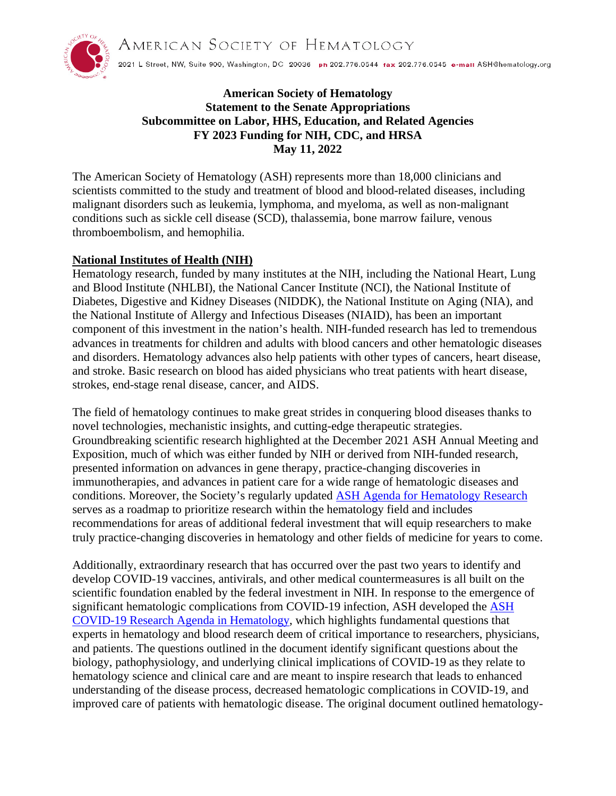AMERICAN SOCIETY OF HEMATOLOGY



2021 L Street, NW, Suite 900, Washington, DC 20036 ph 202.776.0544 fax 202.776.0545 e-mail ASH@hematology.org

# **American Society of Hematology Statement to the Senate Appropriations Subcommittee on Labor, HHS, Education, and Related Agencies FY 2023 Funding for NIH, CDC, and HRSA May 11, 2022**

The American Society of Hematology (ASH) represents more than 18,000 clinicians and scientists committed to the study and treatment of blood and blood-related diseases, including malignant disorders such as leukemia, lymphoma, and myeloma, as well as non-malignant conditions such as sickle cell disease (SCD), thalassemia, bone marrow failure, venous thromboembolism, and hemophilia.

## **National Institutes of Health (NIH)**

Hematology research, funded by many institutes at the NIH, including the National Heart, Lung and Blood Institute (NHLBI), the National Cancer Institute (NCI), the National Institute of Diabetes, Digestive and Kidney Diseases (NIDDK), the National Institute on Aging (NIA), and the National Institute of Allergy and Infectious Diseases (NIAID), has been an important component of this investment in the nation's health. NIH-funded research has led to tremendous advances in treatments for children and adults with blood cancers and other hematologic diseases and disorders. Hematology advances also help patients with other types of cancers, heart disease, and stroke. Basic research on blood has aided physicians who treat patients with heart disease, strokes, end-stage renal disease, cancer, and AIDS.

The field of hematology continues to make great strides in conquering blood diseases thanks to novel technologies, mechanistic insights, and cutting-edge therapeutic strategies. Groundbreaking scientific research highlighted at the December 2021 ASH Annual Meeting and Exposition, much of which was either funded by NIH or derived from NIH-funded research, presented information on advances in gene therapy, practice-changing discoveries in immunotherapies, and advances in patient care for a wide range of hematologic diseases and conditions. Moreover, the Society's regularly updated [ASH Agenda for Hematology Research](https://www.hematology.org/research/ash-agenda-for-hematology-research) serves as a roadmap to prioritize research within the hematology field and includes recommendations for areas of additional federal investment that will equip researchers to make truly practice-changing discoveries in hematology and other fields of medicine for years to come.

Additionally, extraordinary research that has occurred over the past two years to identify and develop COVID-19 vaccines, antivirals, and other medical countermeasures is all built on the scientific foundation enabled by the federal investment in NIH. In response to the emergence of significant hematologic complications from COVID-19 infection, ASH developed the [ASH](https://www.hematology.org/research/ash-agenda-for-hematology-research/ash-covid-19-research-agenda-for-hematology)  [COVID-19 Research Agenda in Hematology,](https://www.hematology.org/research/ash-agenda-for-hematology-research/ash-covid-19-research-agenda-for-hematology) which highlights fundamental questions that experts in hematology and blood research deem of critical importance to researchers, physicians, and patients. The questions outlined in the document identify significant questions about the biology, pathophysiology, and underlying clinical implications of COVID-19 as they relate to hematology science and clinical care and are meant to inspire research that leads to enhanced understanding of the disease process, decreased hematologic complications in COVID-19, and improved care of patients with hematologic disease. The original document outlined hematology-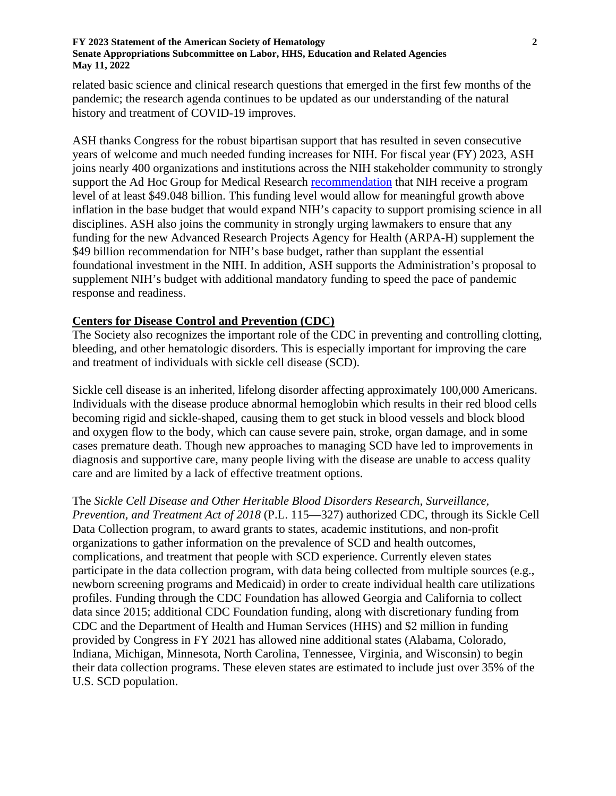### **FY 2023 Statement of the American Society of Hematology Senate Appropriations Subcommittee on Labor, HHS, Education and Related Agencies May 11, 2022**

related basic science and clinical research questions that emerged in the first few months of the pandemic; the research agenda continues to be updated as our understanding of the natural history and treatment of COVID-19 improves.

ASH thanks Congress for the robust bipartisan support that has resulted in seven consecutive years of welcome and much needed funding increases for NIH. For fiscal year (FY) 2023, ASH joins nearly 400 organizations and institutions across the NIH stakeholder community to strongly support the Ad Hoc Group for Medical Research [recommendation](https://www.aamc.org/research/adhocgp/FY23Recommendation.pdf) that NIH receive a program level of at least \$49.048 billion. This funding level would allow for meaningful growth above inflation in the base budget that would expand NIH's capacity to support promising science in all disciplines. ASH also joins the community in strongly urging lawmakers to ensure that any funding for the new Advanced Research Projects Agency for Health (ARPA-H) supplement the \$49 billion recommendation for NIH's base budget, rather than supplant the essential foundational investment in the NIH. In addition, ASH supports the Administration's proposal to supplement NIH's budget with additional mandatory funding to speed the pace of pandemic response and readiness.

## **Centers for Disease Control and Prevention (CDC)**

The Society also recognizes the important role of the CDC in preventing and controlling clotting, bleeding, and other hematologic disorders. This is especially important for improving the care and treatment of individuals with sickle cell disease (SCD).

Sickle cell disease is an inherited, lifelong disorder affecting approximately 100,000 Americans. Individuals with the disease produce abnormal hemoglobin which results in their red blood cells becoming rigid and sickle-shaped, causing them to get stuck in blood vessels and block blood and oxygen flow to the body, which can cause severe pain, stroke, organ damage, and in some cases premature death. Though new approaches to managing SCD have led to improvements in diagnosis and supportive care, many people living with the disease are unable to access quality care and are limited by a lack of effective treatment options.

The *Sickle Cell Disease and Other Heritable Blood Disorders Research, Surveillance, Prevention, and Treatment Act of 2018* (P.L. 115—327) authorized CDC, through its Sickle Cell Data Collection program, to award grants to states, academic institutions, and non-profit organizations to gather information on the prevalence of SCD and health outcomes, complications, and treatment that people with SCD experience. Currently eleven states participate in the data collection program, with data being collected from multiple sources (e.g., newborn screening programs and Medicaid) in order to create individual health care utilizations profiles. Funding through the CDC Foundation has allowed Georgia and California to collect data since 2015; additional CDC Foundation funding, along with discretionary funding from CDC and the Department of Health and Human Services (HHS) and \$2 million in funding provided by Congress in FY 2021 has allowed nine additional states (Alabama, Colorado, Indiana, Michigan, Minnesota, North Carolina, Tennessee, Virginia, and Wisconsin) to begin their data collection programs. These eleven states are estimated to include just over 35% of the U.S. SCD population.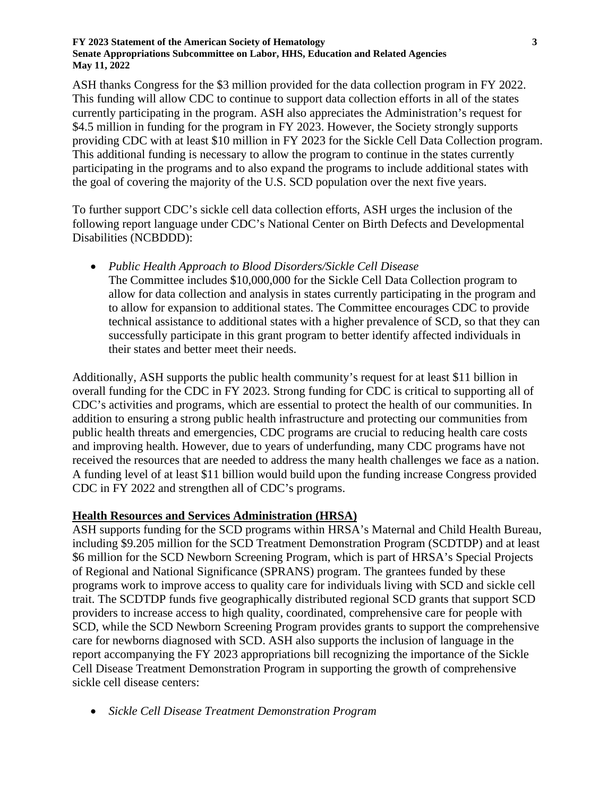### **FY 2023 Statement of the American Society of Hematology Senate Appropriations Subcommittee on Labor, HHS, Education and Related Agencies May 11, 2022**

ASH thanks Congress for the \$3 million provided for the data collection program in FY 2022. This funding will allow CDC to continue to support data collection efforts in all of the states currently participating in the program. ASH also appreciates the Administration's request for \$4.5 million in funding for the program in FY 2023. However, the Society strongly supports providing CDC with at least \$10 million in FY 2023 for the Sickle Cell Data Collection program. This additional funding is necessary to allow the program to continue in the states currently participating in the programs and to also expand the programs to include additional states with the goal of covering the majority of the U.S. SCD population over the next five years.

To further support CDC's sickle cell data collection efforts, ASH urges the inclusion of the following report language under CDC's National Center on Birth Defects and Developmental Disabilities (NCBDDD):

• *Public Health Approach to Blood Disorders/Sickle Cell Disease* The Committee includes \$10,000,000 for the Sickle Cell Data Collection program to allow for data collection and analysis in states currently participating in the program and to allow for expansion to additional states. The Committee encourages CDC to provide technical assistance to additional states with a higher prevalence of SCD, so that they can successfully participate in this grant program to better identify affected individuals in their states and better meet their needs.

Additionally, ASH supports the public health community's request for at least \$11 billion in overall funding for the CDC in FY 2023. Strong funding for CDC is critical to supporting all of CDC's activities and programs, which are essential to protect the health of our communities. In addition to ensuring a strong public health infrastructure and protecting our communities from public health threats and emergencies, CDC programs are crucial to reducing health care costs and improving health. However, due to years of underfunding, many CDC programs have not received the resources that are needed to address the many health challenges we face as a nation. A funding level of at least \$11 billion would build upon the funding increase Congress provided CDC in FY 2022 and strengthen all of CDC's programs.

## **Health Resources and Services Administration (HRSA)**

ASH supports funding for the SCD programs within HRSA's Maternal and Child Health Bureau, including \$9.205 million for the SCD Treatment Demonstration Program (SCDTDP) and at least \$6 million for the SCD Newborn Screening Program, which is part of HRSA's Special Projects of Regional and National Significance (SPRANS) program. The grantees funded by these programs work to improve access to quality care for individuals living with SCD and sickle cell trait. The SCDTDP funds five geographically distributed regional SCD grants that support SCD providers to increase access to high quality, coordinated, comprehensive care for people with SCD, while the SCD Newborn Screening Program provides grants to support the comprehensive care for newborns diagnosed with SCD. ASH also supports the inclusion of language in the report accompanying the FY 2023 appropriations bill recognizing the importance of the Sickle Cell Disease Treatment Demonstration Program in supporting the growth of comprehensive sickle cell disease centers:

• *Sickle Cell Disease Treatment Demonstration Program*